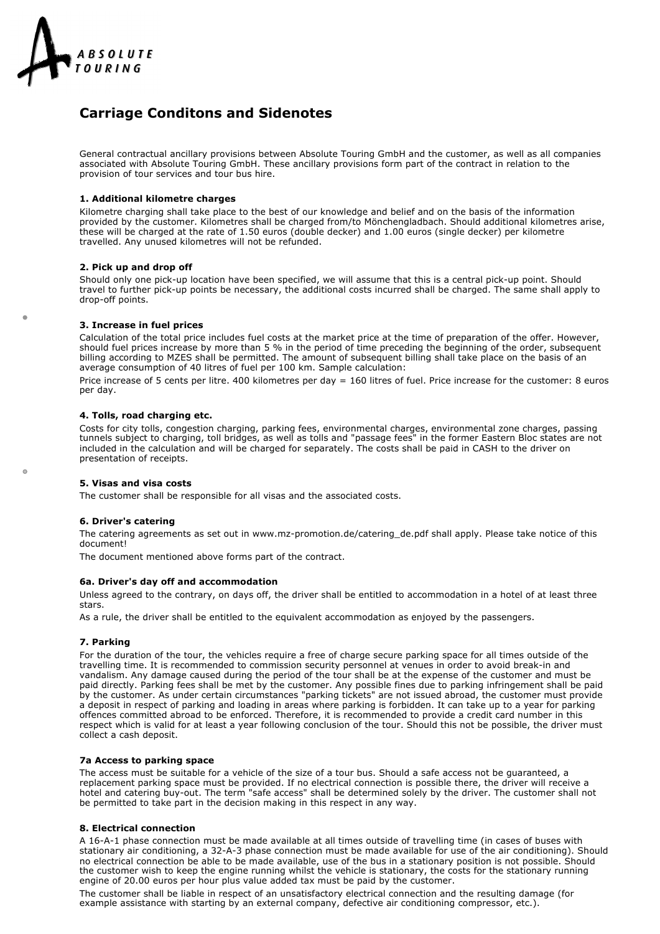

# **Carriage Conditons and Sidenotes**

General contractual ancillary provisions between Absolute Touring GmbH and the customer, as well as all companies associated with Absolute Touring GmbH. These ancillary provisions form part of the contract in relation to the provision of tour services and tour bus hire.

# **1. Additional kilometre charges**

Kilometre charging shall take place to the best of our knowledge and belief and on the basis of the information provided by the customer. Kilometres shall be charged from/to Mönchengladbach. Should additional kilometres arise, these will be charged at the rate of 1.50 euros (double decker) and 1.00 euros (single decker) per kilometre travelled. Any unused kilometres will not be refunded.

#### **2. Pick up and drop off**

Should only one pick-up location have been specified, we will assume that this is a central pick-up point. Should travel to further pick-up points be necessary, the additional costs incurred shall be charged. The same shall apply to drop-off points.

# **3. Increase in fuel prices**

Calculation of the total price includes fuel costs at the market price at the time of preparation of the offer. However, should fuel prices increase by more than 5 % in the period of time preceding the beginning of the order, subsequent billing according to MZES shall be permitted. The amount of subsequent billing shall take place on the basis of an average consumption of 40 litres of fuel per 100 km. Sample calculation:

Price increase of 5 cents per litre. 400 kilometres per day = 160 litres of fuel. Price increase for the customer: 8 euros per day.

# **4. Tolls, road charging etc.**

Costs for city tolls, congestion charging, parking fees, environmental charges, environmental zone charges, passing tunnels subject to charging, toll bridges, as well as tolls and "passage fees" in the former Eastern Bloc states are not included in the calculation and will be charged for separately. The costs shall be paid in CASH to the driver on presentation of receipts.

# **5. Visas and visa costs**

The customer shall be responsible for all visas and the associated costs.

#### **6. Driver's catering**

 $\triangle$ 

The catering agreements as set out in www.mz-promotion.de/catering\_de.pdf shall apply. Please take notice of this document!

The document mentioned above forms part of the contract.

#### **6a. Driver's day off and accommodation**

Unless agreed to the contrary, on days off, the driver shall be entitled to accommodation in a hotel of at least three stars.

As a rule, the driver shall be entitled to the equivalent accommodation as enjoyed by the passengers.

# **7. Parking**

For the duration of the tour, the vehicles require a free of charge secure parking space for all times outside of the travelling time. It is recommended to commission security personnel at venues in order to avoid break-in and vandalism. Any damage caused during the period of the tour shall be at the expense of the customer and must be paid directly. Parking fees shall be met by the customer. Any possible fines due to parking infringement shall be paid by the customer. As under certain circumstances "parking tickets" are not issued abroad, the customer must provide a deposit in respect of parking and loading in areas where parking is forbidden. It can take up to a year for parking offences committed abroad to be enforced. Therefore, it is recommended to provide a credit card number in this respect which is valid for at least a year following conclusion of the tour. Should this not be possible, the driver must collect a cash deposit.

# **7a Access to parking space**

The access must be suitable for a vehicle of the size of a tour bus. Should a safe access not be guaranteed, a replacement parking space must be provided. If no electrical connection is possible there, the driver will receive a hotel and catering buy-out. The term "safe access" shall be determined solely by the driver. The customer shall not be permitted to take part in the decision making in this respect in any way.

#### **8. Electrical connection**

A 16-A-1 phase connection must be made available at all times outside of travelling time (in cases of buses with stationary air conditioning, a 32-A-3 phase connection must be made available for use of the air conditioning). Should no electrical connection be able to be made available, use of the bus in a stationary position is not possible. Should the customer wish to keep the engine running whilst the vehicle is stationary, the costs for the stationary running engine of 20.00 euros per hour plus value added tax must be paid by the customer.

The customer shall be liable in respect of an unsatisfactory electrical connection and the resulting damage (for example assistance with starting by an external company, defective air conditioning compressor, etc.).